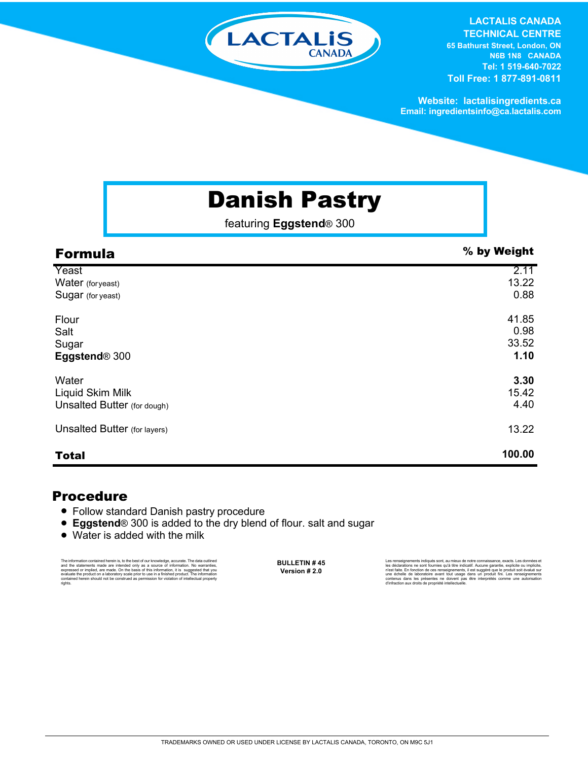

**LACTALIS CANADA** 

**TECHNICAL CENTRE 65 Bathurst Street, London, ON N6B 1N8 CANADA Tel: 1 519-640-7022 Toll Free: 1 877-891-0811**

**Website: lactalisingredients.ca Email: ingredientsinfo@ca.lactalis.com**

## Danish Pastry

featuring **Eggstend**® 300

| <b>Formula</b>                      | % by Weight |
|-------------------------------------|-------------|
| Yeast                               | 2.11        |
| Water (foryeast)                    | 13.22       |
| Sugar (for yeast)                   | 0.88        |
| Flour                               | 41.85       |
| Salt                                | 0.98        |
| Sugar                               | 33.52       |
| Eggstend <sup>®</sup> 300           | 1.10        |
| Water                               | 3.30        |
| Liquid Skim Milk                    | 15.42       |
| Unsalted Butter (for dough)         | 4.40        |
| <b>Unsalted Butter</b> (for layers) | 13.22       |
| <b>Total</b>                        | 100.00      |

## Procedure

- Follow standard Danish pastry procedure
- **Eggstend**<sup>®</sup> 300 is added to the dry blend of flour. salt and sugar
- Water is added with the milk

The information contained herein is, to the best of our knowledge, accurate. The data cutlined the statements made are intended only as a source of information. No warranties, expressed or implied, are made. On the basis o

**BULLETIN # 45 Version # 2.0**

Les rensejonements indiqués sont, au mieux de notre connaissance, exacts. Les données et<br>les déclarations ne sont fournies qu'à titre indicatif. Aucune garantie, explicite ou implicite,<br>riest faite. En fonction de ces rens